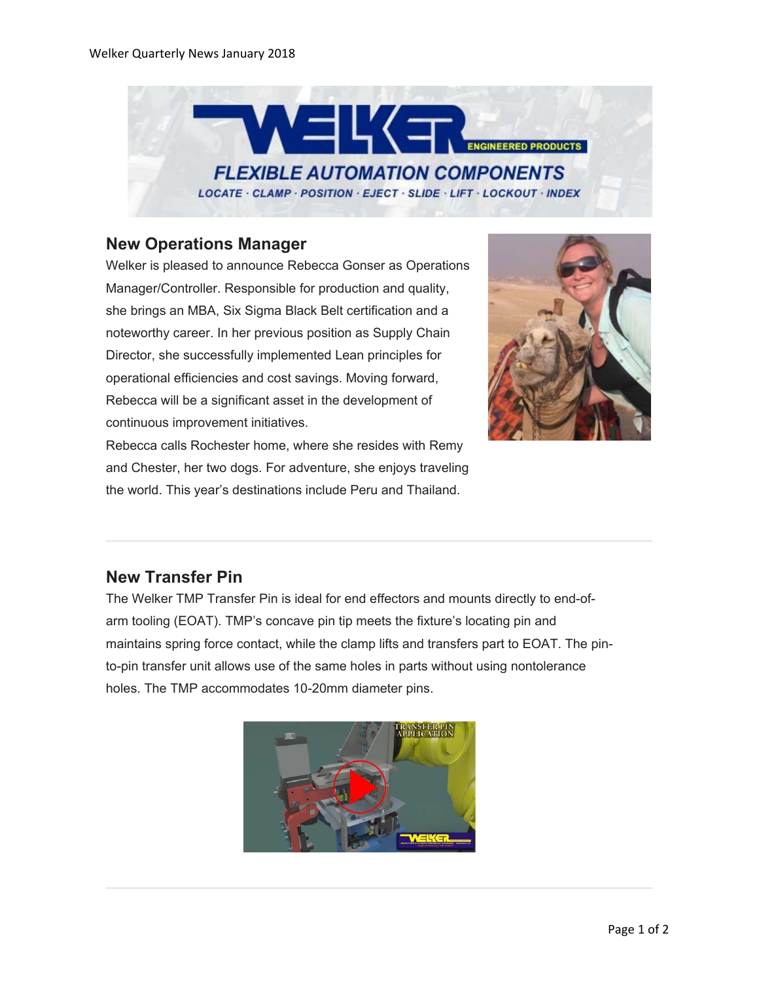

#### **New Operations Manager**

Welker is pleased to announce Rebecca Gonser as Operations Manager/Controller. Responsible for production and quality, she brings an MBA, Six Sigma Black Belt certification and a noteworthy career. In her previous position as Supply Chain Director, she successfully implemented Lean principles for operational efficiencies and cost savings. Moving forward, Rebecca will be a significant asset in the development of continuous improvement initiatives.



Rebecca calls Rochester home, where she resides with Remy and Chester, her two dogs. For adventure, she enjoys traveling the world. This year's destinations include Peru and Thailand.

# **New Transfer Pin**

The Welker TMP Transfer Pin is ideal for end effectors and mounts directly to end-ofarm tooling (EOAT). TMP's concave pin tip meets the fixture's locating pin and maintains spring force contact, while the clamp lifts and transfers part to EOAT. The pinto-pin transfer unit allows use of the same holes in parts without using nontolerance holes. The TMP accommodates 10-20mm diameter pins.

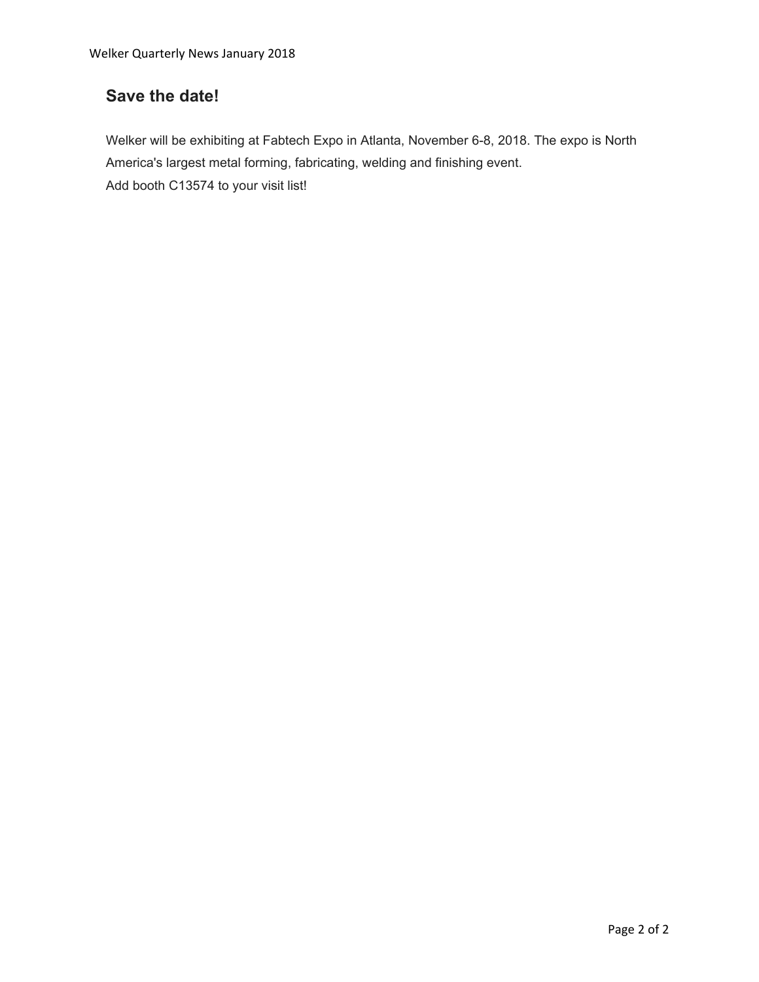# **Save the date!**

Welker will be exhibiting at Fabtech Expo in Atlanta, November 6-8, 2018. The expo is North America's largest metal forming, fabricating, welding and finishing event. Add booth C13574 to your visit list!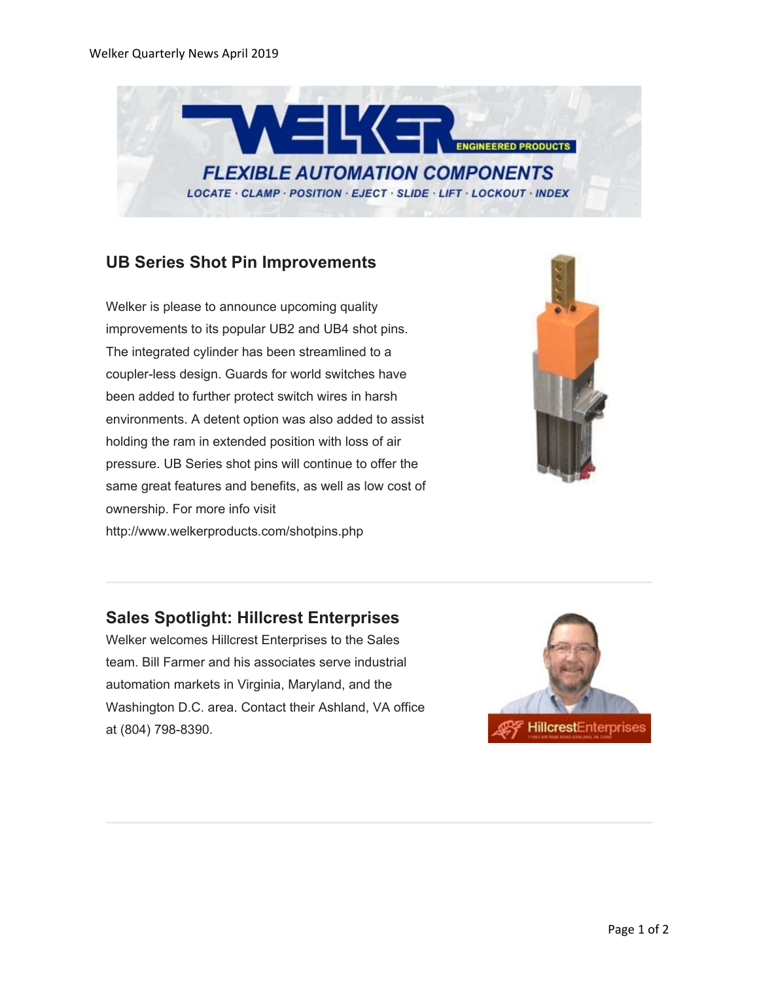

#### **UB Series Shot Pin Improvements**

Welker is please to announce upcoming quality improvements to its popular UB2 and UB4 shot pins. The integrated cylinder has been streamlined to a coupler-less design. Guards for world switches have been added to further protect switch wires in harsh environments. A detent option was also added to assist holding the ram in extended position with loss of air pressure. UB Series shot pins will continue to offer the same great features and benefits, as well as low cost of ownership. For more info visit http://www.welkerproducts.com/shotpins.php



# **Sales Spotlight: Hillcrest Enterprises**

Welker welcomes Hillcrest Enterprises to the Sales team. Bill Farmer and his associates serve industrial automation markets in Virginia, Maryland, and the Washington D.C. area. Contact their Ashland, VA office at (804) 798-8390.

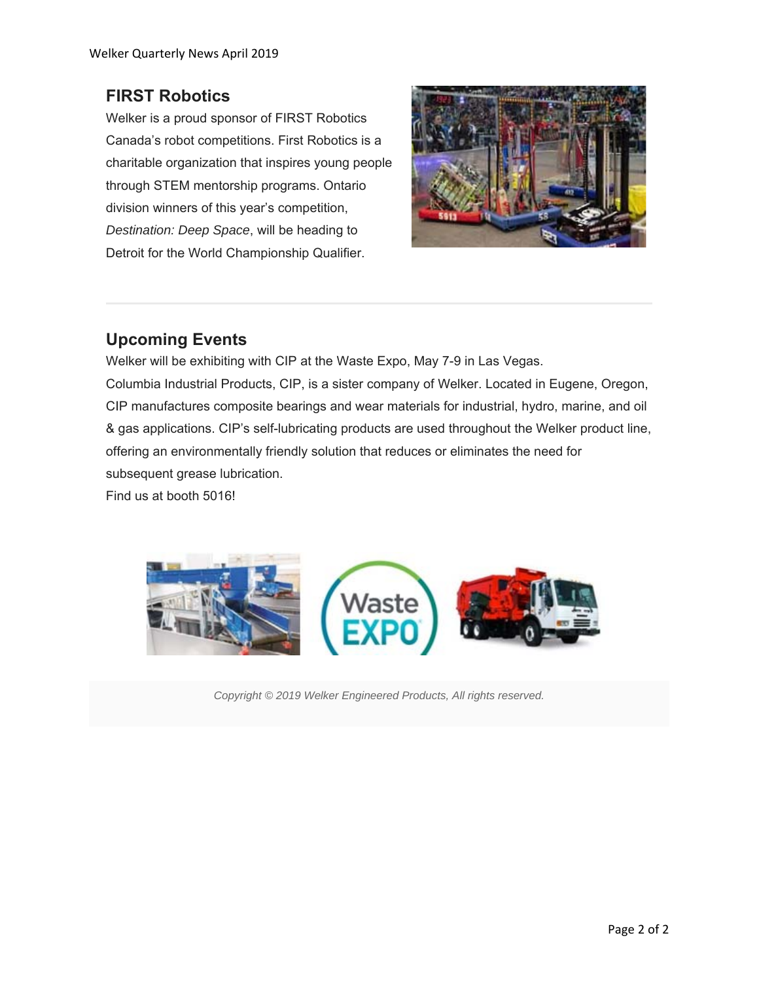# **FIRST Robotics**

Welker is a proud sponsor of FIRST Robotics Canada's robot competitions. First Robotics is a charitable organization that inspires young people through STEM mentorship programs. Ontario division winners of this year's competition, *Destination: Deep Space*, will be heading to Detroit for the World Championship Qualifier.



# **Upcoming Events**

Welker will be exhibiting with CIP at the Waste Expo, May 7-9 in Las Vegas. Columbia Industrial Products, CIP, is a sister company of Welker. Located in Eugene, Oregon, CIP manufactures composite bearings and wear materials for industrial, hydro, marine, and oil & gas applications. CIP's self-lubricating products are used throughout the Welker product line, offering an environmentally friendly solution that reduces or eliminates the need for subsequent grease lubrication.

Find us at booth 5016!



*Copyright © 2019 Welker Engineered Products, All rights reserved.*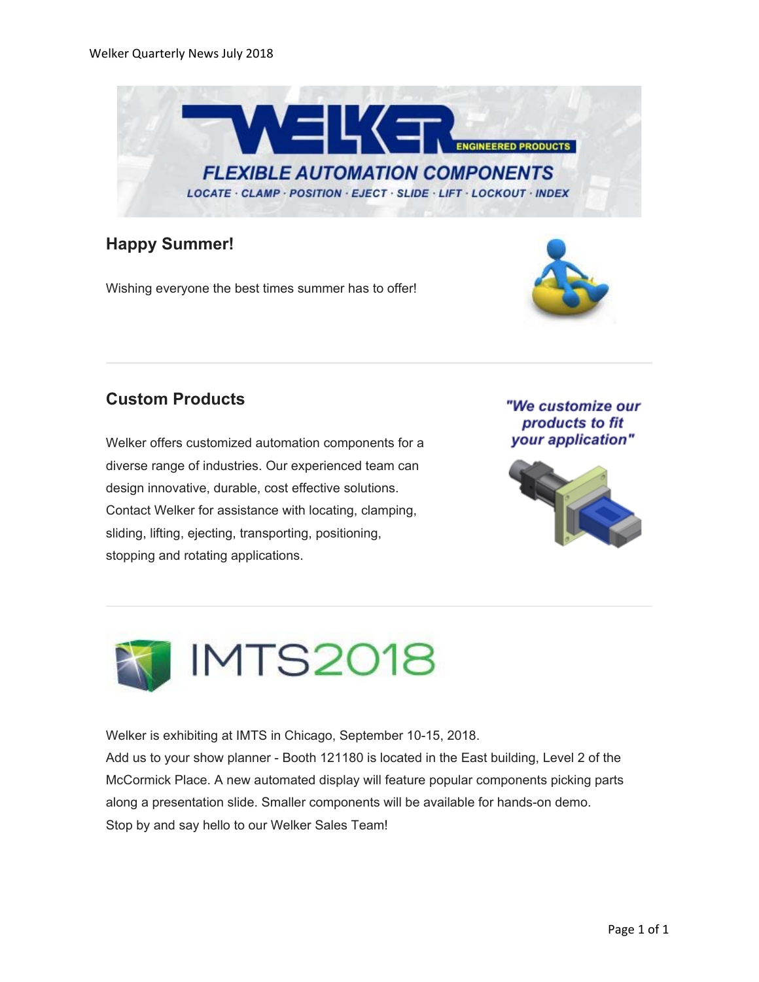

### **Happy Summer!**

Wishing everyone the best times summer has to offer!



# **Custom Products**

Welker offers customized automation components for a diverse range of industries. Our experienced team can design innovative, durable, cost effective solutions. Contact Welker for assistance with locating, clamping, sliding, lifting, ejecting, transporting, positioning, stopping and rotating applications.

"We customize our products to fit your application"





Welker is exhibiting at IMTS in Chicago, September 10-15, 2018. Add us to your show planner - Booth 121180 is located in the East building, Level 2 of the McCormick Place. A new automated display will feature popular components picking parts along a presentation slide. Smaller components will be available for hands-on demo. Stop by and say hello to our Welker Sales Team!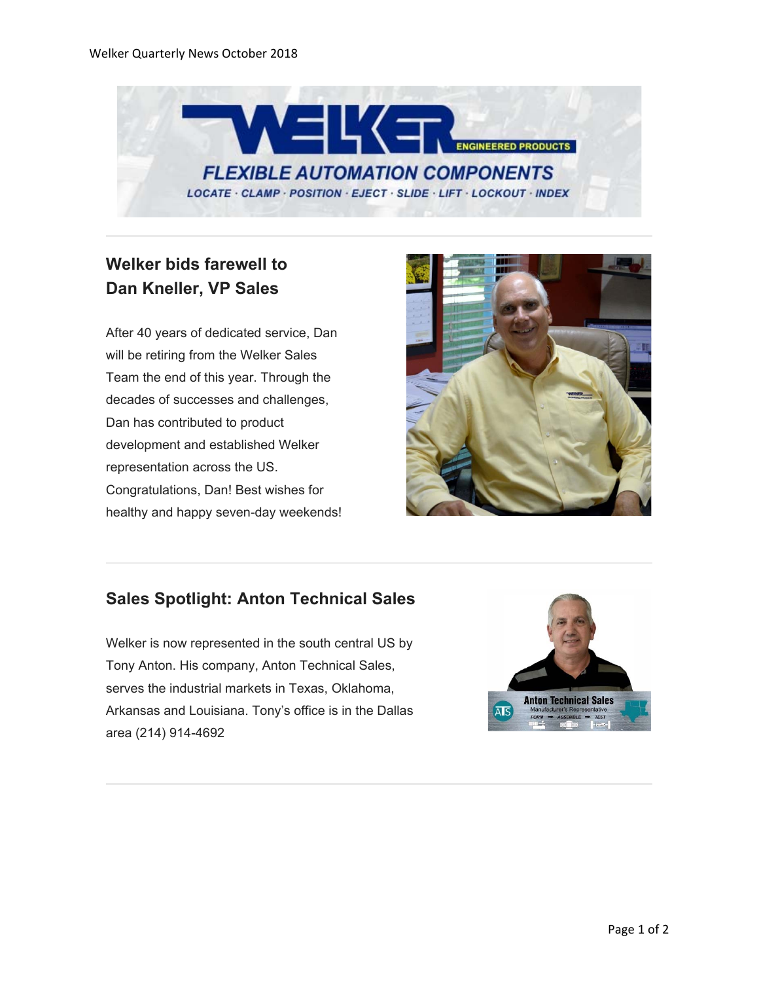

# **Welker bids farewell to Dan Kneller, VP Sales**

After 40 years of dedicated service, Dan will be retiring from the Welker Sales Team the end of this year. Through the decades of successes and challenges, Dan has contributed to product development and established Welker representation across the US. Congratulations, Dan! Best wishes for healthy and happy seven-day weekends!



# **Sales Spotlight: Anton Technical Sales**

Welker is now represented in the south central US by Tony Anton. His company, Anton Technical Sales, serves the industrial markets in Texas, Oklahoma, Arkansas and Louisiana. Tony's office is in the Dallas area (214) 914-4692